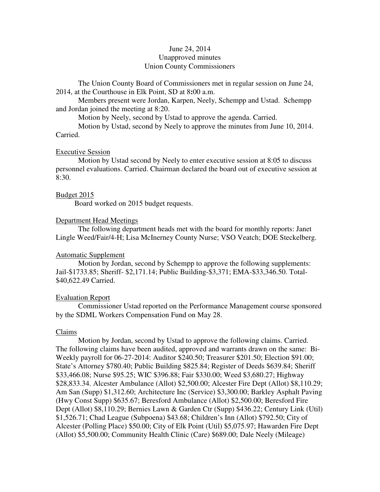# June 24, 2014 Unapproved minutes Union County Commissioners

The Union County Board of Commissioners met in regular session on June 24, 2014, at the Courthouse in Elk Point, SD at 8**:**00 a.m.

 Members present were Jordan, Karpen, Neely, Schempp and Ustad. Schempp and Jordan joined the meeting at 8:20.

Motion by Neely, second by Ustad to approve the agenda. Carried.

 Motion by Ustad, second by Neely to approve the minutes from June 10, 2014. Carried.

#### Executive Session

 Motion by Ustad second by Neely to enter executive session at 8:05 to discuss personnel evaluations. Carried. Chairman declared the board out of executive session at 8:30.

### Budget 2015

Board worked on 2015 budget requests.

#### Department Head Meetings

 The following department heads met with the board for monthly reports: Janet Lingle Weed/Fair/4-H; Lisa McInerney County Nurse; VSO Veatch; DOE Steckelberg.

#### Automatic Supplement

 Motion by Jordan, second by Schempp to approve the following supplements: Jail-\$1733.85; Sheriff- \$2,171.14; Public Building-\$3,371; EMA-\$33,346.50. Total- \$40,622.49 Carried.

#### Evaluation Report

 Commissioner Ustad reported on the Performance Management course sponsored by the SDML Workers Compensation Fund on May 28.

### Claims

 Motion by Jordan, second by Ustad to approve the following claims. Carried. The following claims have been audited, approved and warrants drawn on the same: Bi-Weekly payroll for 06-27-2014: Auditor \$240.50; Treasurer \$201.50; Election \$91.00; State's Attorney \$780.40; Public Building \$825.84; Register of Deeds \$639.84; Sheriff \$33,466.08; Nurse \$95.25; WIC \$396.88; Fair \$330.00; Weed \$3,680.27; Highway \$28,833.34. Alcester Ambulance (Allot) \$2,500.00; Alcester Fire Dept (Allot) \$8,110.29; Am San (Supp) \$1,312.60; Architecture Inc (Service) \$3,300.00; Barkley Asphalt Paving (Hwy Const Supp) \$635.67; Beresford Ambulance (Allot) \$2,500.00; Beresford Fire Dept (Allot) \$8,110.29; Bernies Lawn & Garden Ctr (Supp) \$436.22; Century Link (Util) \$1,526.71; Chad League (Subpoena) \$43.68; Children's Inn (Allot) \$792.50; City of Alcester (Polling Place) \$50.00; City of Elk Point (Util) \$5,075.97; Hawarden Fire Dept (Allot) \$5,500.00; Community Health Clinic (Care) \$689.00; Dale Neely (Mileage)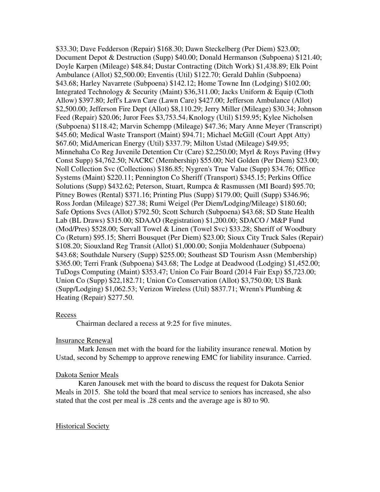\$33.30; Dave Fedderson (Repair) \$168.30; Dawn Steckelberg (Per Diem) \$23.00; Document Depot & Destruction (Supp) \$40.00; Donald Hermanson (Subpoena) \$121.40; Doyle Karpen (Mileage) \$48.84; Dustar Contracting (Ditch Work) \$1,438.89; Elk Point Ambulance (Allot) \$2,500.00; Enventis (Util) \$122.70; Gerald Dahlin (Subpoena) \$43.68; Harley Navarrete (Subpoena) \$142.12; Home Towne Inn (Lodging) \$102.00; Integrated Technology & Security (Maint) \$36,311.00; Jacks Uniform & Equip (Cloth Allow) \$397.80; Jeff's Lawn Care (Lawn Care) \$427.00; Jefferson Ambulance (Allot) \$2,500.00; Jefferson Fire Dept (Allot) \$8,110.29; Jerry Miller (Mileage) \$30.34; Johnson Feed (Repair) \$20.06; Juror Fees \$3,753.54;Knology (Util) \$159.95; Kylee Nicholsen (Subpoena) \$118.42; Marvin Schempp (Mileage) \$47.36; Mary Anne Meyer (Transcript) \$45.60; Medical Waste Transport (Maint) \$94.71; Michael McGill (Court Appt Atty) \$67.60; MidAmerican Energy (Util) \$337.79; Milton Ustad (Mileage) \$49.95; Minnehaha Co Reg Juvenile Detention Ctr (Care) \$2,250.00; Myrl & Roys Paving (Hwy Const Supp) \$4,762.50; NACRC (Membership) \$55.00; Nel Golden (Per Diem) \$23.00; Noll Collection Svc (Collections) \$186.85; Nygren's True Value (Supp) \$34.76; Office Systems (Maint) \$220.11; Pennington Co Sheriff (Transport) \$345.15; Perkins Office Solutions (Supp) \$432.62; Peterson, Stuart, Rumpca & Rasmussen (MI Board) \$95.70; Pitney Bowes (Rental) \$371.16; Printing Plus (Supp) \$179.00; Quill (Supp) \$346.96; Ross Jordan (Mileage) \$27.38; Rumi Weigel (Per Diem/Lodging/Mileage) \$180.60; Safe Options Svcs (Allot) \$792.50; Scott Schurch (Subpoena) \$43.68; SD State Health Lab (BL Draws) \$315.00; SDAAO (Registration) \$1,200.00; SDACO / M&P Fund (Mod/Pres) \$528.00; Servall Towel & Linen (Towel Svc) \$33.28; Sheriff of Woodbury Co (Return) \$95.15; Sherri Bousquet (Per Diem) \$23.00; Sioux City Truck Sales (Repair) \$108.20; Siouxland Reg Transit (Allot) \$1,000.00; Sonjia Moldenhauer (Subpoena) \$43.68; Southdale Nursery (Supp) \$255.00; Southeast SD Tourism Assn (Membership) \$365.00; Terri Frank (Subpoena) \$43.68; The Lodge at Deadwood (Lodging) \$1,452.00; TuDogs Computing (Maint) \$353.47; Union Co Fair Board (2014 Fair Exp) \$5,723.00; Union Co (Supp) \$22,182.71; Union Co Conservation (Allot) \$3,750.00; US Bank (Supp/Lodging) \$1,062.53; Verizon Wireless (Util) \$837.71; Wrenn's Plumbing & Heating (Repair) \$277.50.

### Recess

Chairman declared a recess at 9:25 for five minutes.

# Insurance Renewal

 Mark Jensen met with the board for the liability insurance renewal. Motion by Ustad, second by Schempp to approve renewing EMC for liability insurance. Carried.

# Dakota Senior Meals

 Karen Janousek met with the board to discuss the request for Dakota Senior Meals in 2015. She told the board that meal service to seniors has increased, she also stated that the cost per meal is .28 cents and the average age is 80 to 90.

### **Historical Society**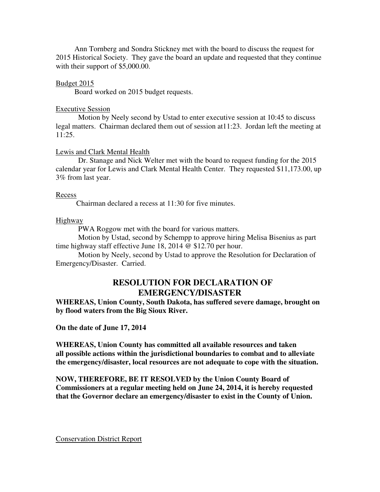Ann Tornberg and Sondra Stickney met with the board to discuss the request for 2015 Historical Society. They gave the board an update and requested that they continue with their support of \$5,000.00.

# Budget 2015

Board worked on 2015 budget requests.

# Executive Session

 Motion by Neely second by Ustad to enter executive session at 10:45 to discuss legal matters. Chairman declared them out of session at11:23. Jordan left the meeting at  $11:25.$ 

# Lewis and Clark Mental Health

 Dr. Stanage and Nick Welter met with the board to request funding for the 2015 calendar year for Lewis and Clark Mental Health Center. They requested \$11,173.00, up 3% from last year.

# Recess

Chairman declared a recess at 11:30 for five minutes.

# Highway

PWA Roggow met with the board for various matters.

 Motion by Ustad, second by Schempp to approve hiring Melisa Bisenius as part time highway staff effective June 18, 2014 @ \$12.70 per hour.

 Motion by Neely, second by Ustad to approve the Resolution for Declaration of Emergency/Disaster. Carried.

# **RESOLUTION FOR DECLARATION OF EMERGENCY/DISASTER**

**WHEREAS, Union County, South Dakota, has suffered severe damage, brought on by flood waters from the Big Sioux River.** 

**On the date of June 17, 2014** 

**WHEREAS, Union County has committed all available resources and taken all possible actions within the jurisdictional boundaries to combat and to alleviate the emergency/disaster, local resources are not adequate to cope with the situation.** 

**NOW, THEREFORE, BE IT RESOLVED by the Union County Board of Commissioners at a regular meeting held on June 24, 2014, it is hereby requested that the Governor declare an emergency/disaster to exist in the County of Union.** 

Conservation District Report